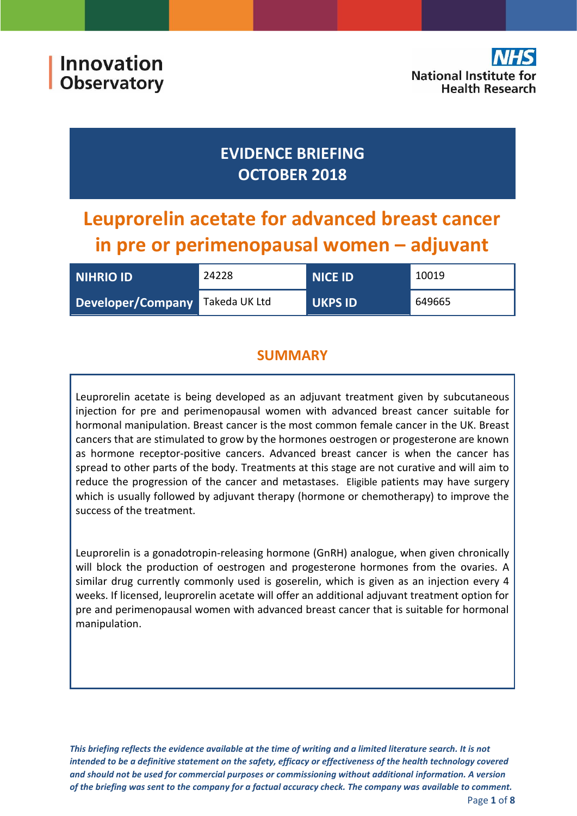## **EVIDENCE BRIEFING OCTOBER 2018**

# **Leuprorelin acetate for advanced breast cancer in pre or perimenopausal women – adjuvant**

| <b>NIHRIO ID</b>  | 24228         | <b>NICE ID</b> | 10019  |
|-------------------|---------------|----------------|--------|
| Developer/Company | Takeda UK Ltd | <b>UKPS ID</b> | 649665 |

## **SUMMARY**

Leuprorelin acetate is being developed as an adjuvant treatment given by subcutaneous injection for pre and perimenopausal women with advanced breast cancer suitable for hormonal manipulation. Breast cancer is the most common female cancer in the UK. Breast cancers that are stimulated to grow by the hormones oestrogen or progesterone are known as hormone receptor-positive cancers. Advanced breast cancer is when the cancer has spread to other parts of the body. Treatments at this stage are not curative and will aim to reduce the progression of the cancer and metastases. Eligible patients may have surgery which is usually followed by adjuvant therapy (hormone or chemotherapy) to improve the success of the treatment.

Leuprorelin is a gonadotropin-releasing hormone (GnRH) analogue, when given chronically will block the production of oestrogen and progesterone hormones from the ovaries. A similar drug currently commonly used is goserelin, which is given as an injection every 4 weeks. If licensed, leuprorelin acetate will offer an additional adjuvant treatment option for pre and perimenopausal women with advanced breast cancer that is suitable for hormonal manipulation.

*This briefing reflects the evidence available at the time of writing and a limited literature search. It is not intended to be a definitive statement on the safety, efficacy or effectiveness of the health technology covered and should not be used for commercial purposes or commissioning without additional information. A version of the briefing was sent to the company for a factual accuracy check. The company was available to comment.*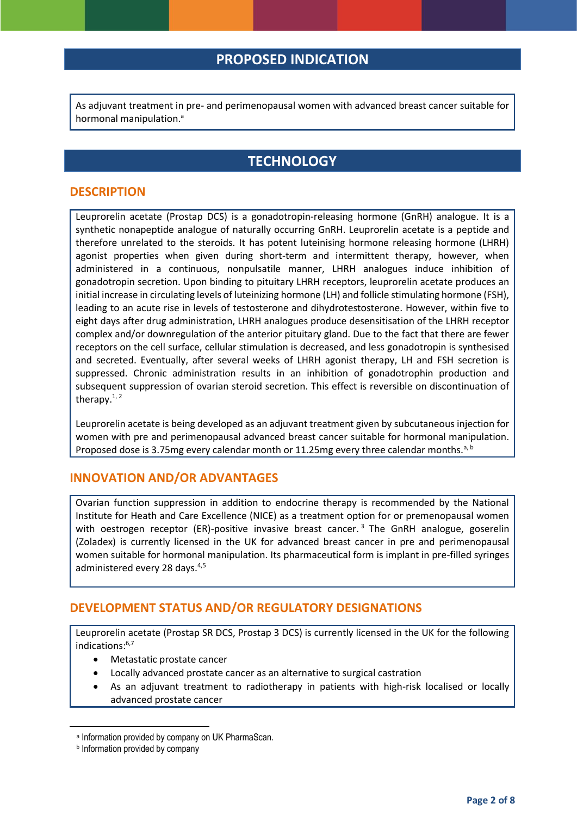## <span id="page-1-0"></span>**PROPOSED INDICATION**

As adjuvant treatment in pre- and perimenopausal women with advanced breast cancer suitable for hormonal manipulation.<sup>a</sup>

## **TECHNOLOGY**

#### **DESCRIPTION**

Leuprorelin acetate (Prostap DCS) is a gonadotropin-releasing hormone (GnRH) analogue. It is a synthetic nonapeptide analogue of naturally occurring GnRH. Leuprorelin acetate is a peptide and therefore unrelated to the steroids. It has potent luteinising hormone releasing hormone (LHRH) agonist properties when given during short-term and intermittent therapy, however, when administered in a continuous, nonpulsatile manner, LHRH analogues induce inhibition of gonadotropin secretion. Upon binding to pituitary LHRH receptors, leuprorelin acetate produces an initial increase in circulating levels of luteinizing hormone (LH) and follicle stimulating hormone (FSH), leading to an acute rise in levels of testosterone and dihydrotestosterone. However, within five to eight days after drug administration, LHRH analogues produce desensitisation of the LHRH receptor complex and/or downregulation of the anterior pituitary gland. Due to the fact that there are fewer receptors on the cell surface, cellular stimulation is decreased, and less gonadotropin is synthesised and secreted. Eventually, after several weeks of LHRH agonist therapy, LH and FSH secretion is suppressed. Chronic administration results in an inhibition of gonadotrophin production and subsequent suppression of ovarian steroid secretion. This effect is reversible on discontinuation of therapy. $1, 2$ 

Leuprorelin acetate is being developed as an adjuvant treatment given by subcutaneous injection for women with pre and perimenopausal advanced breast cancer suitable for hormonal manipulation. Proposed dose is 3.75mg every calendar month or 11.25mg every three calendar months.<sup>[a,](#page-1-0) b</sup>

#### **INNOVATION AND/OR ADVANTAGES**

<span id="page-1-3"></span>Ovarian function suppression in addition to endocrine therapy is recommended by the National Institute for Heath and Care Excellence (NICE) as a treatment option for or premenopausal women with oestrogen receptor (ER)-positive invasive breast cancer.<sup>3</sup> The GnRH analogue, goserelin (Zoladex) is currently licensed in the UK for advanced breast cancer in pre and perimenopausal women suitable for hormonal manipulation. Its pharmaceutical form is implant in pre-filled syringes administered every 28 days.<sup>4,5</sup>

#### <span id="page-1-4"></span>**DEVELOPMENT STATUS AND/OR REGULATORY DESIGNATIONS**

Leuprorelin acetate (Prostap SR DCS, Prostap 3 DCS) is currently licensed in the UK for the following indications:6,7

- <span id="page-1-2"></span><span id="page-1-1"></span>Metastatic prostate cancer
- Locally advanced prostate cancer as an alternative to surgical castration
- As an adjuvant treatment to radiotherapy in patients with high-risk localised or locally advanced prostate cancer

**.** 

a Information provided by company on UK PharmaScan.

**b** Information provided by company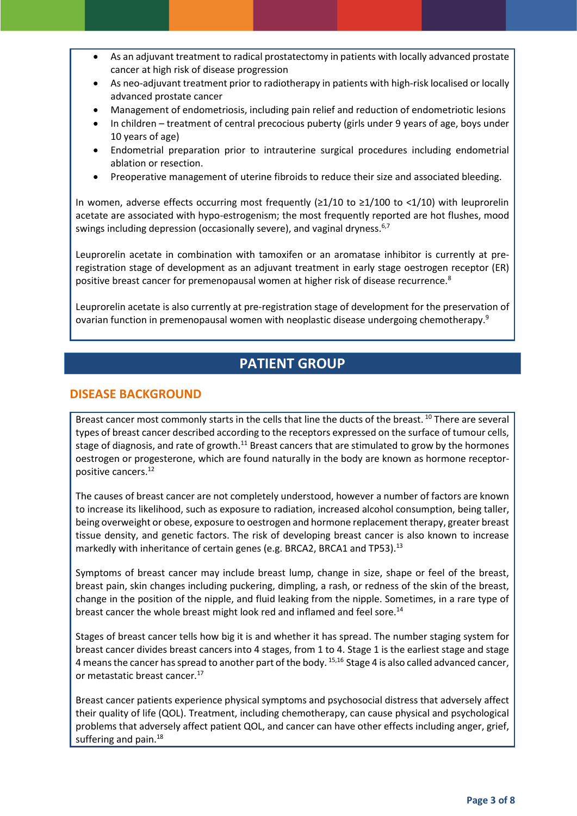- As an adjuvant treatment to radical prostatectomy in patients with locally advanced prostate cancer at high risk of disease progression
- As neo-adjuvant treatment prior to radiotherapy in patients with high-risk localised or locally advanced prostate cancer
- Management of endometriosis, including pain relief and reduction of endometriotic lesions
- In children treatment of central precocious puberty (girls under 9 years of age, boys under 10 years of age)
- Endometrial preparation prior to intrauterine surgical procedures including endometrial ablation or resection.
- Preoperative management of uterine fibroids to reduce their size and associated bleeding.

In women, adverse effects occurring most frequently (≥1/10 to ≥1/100 to <1/10) with leuprorelin acetate are associated with hypo-estrogenism; the most frequently reported are hot flushes, mood swings including depression (occasionally severe), and vaginal dryness.<sup>[6](#page-1-1)[,7](#page-1-2)</sup>

Leuprorelin acetate in combination with tamoxifen or an aromatase inhibitor is currently at preregistration stage of development as an adjuvant treatment in early stage oestrogen receptor (ER) positive breast cancer for premenopausal women at higher risk of disease recurrence.<sup>8</sup>

Leuprorelin acetate is also currently at pre-registration stage of development for the preservation of ovarian function in premenopausal women with neoplastic disease undergoing chemotherapy.<sup>9</sup>

## **PATIENT GROUP**

#### **DISEASE BACKGROUND**

Breast cancer most commonly starts in the cells that line the ducts of the breast.<sup>10</sup> There are several types of breast cancer described according to the receptors expressed on the surface of tumour cells, stage of diagnosis, and rate of growth.<sup>11</sup> Breast cancers that are stimulated to grow by the hormones oestrogen or progesterone, which are found naturally in the body are known as hormone receptorpositive cancers.<sup>12</sup>

<span id="page-2-0"></span>The causes of breast cancer are not completely understood, however a number of factors are known to increase its likelihood, such as exposure to radiation, increased alcohol consumption, being taller, being overweight or obese, exposure to oestrogen and hormone replacement therapy, greater breast tissue density, and genetic factors. The risk of developing breast cancer is also known to increase markedly with inheritance of certain genes (e.g. BRCA2, BRCA1 and TP53).<sup>13</sup>

Symptoms of breast cancer may include breast lump, change in size, shape or feel of the breast, breast pain, skin changes including puckering, dimpling, a rash, or redness of the skin of the breast, change in the position of the nipple, and fluid leaking from the nipple. Sometimes, in a rare type of breast cancer the whole breast might look red and inflamed and feel sore.<sup>14</sup>

Stages of breast cancer tells how big it is and whether it has spread. The number staging system for breast cancer divides breast cancers into 4 stages, from 1 to 4. Stage 1 is the earliest stage and stage 4 means the cancer has spread to another part of the body. 15,16 Stage 4 is also called advanced cancer, or metastatic breast cancer.<sup>17</sup>

Breast cancer patients experience physical symptoms and psychosocial distress that adversely affect their quality of life (QOL). Treatment, including chemotherapy, can cause physical and psychological problems that adversely affect patient QOL, and cancer can have other effects including anger, grief, suffering and pain. $^{18}$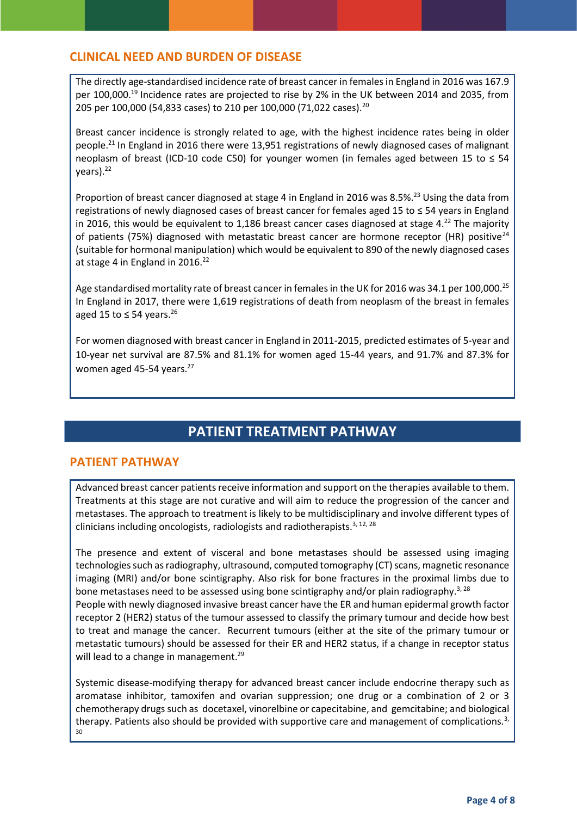#### **CLINICAL NEED AND BURDEN OF DISEASE**

The directly age-standardised incidence rate of breast cancer in females in England in 2016 was 167.9 per 100,000.<sup>19</sup> Incidence rates are projected to rise by 2% in the UK between 2014 and 2035, from 205 per 100,000 (54,833 cases) to 210 per 100,000 (71,022 cases).<sup>20</sup>

Breast cancer incidence is strongly related to age, with the highest incidence rates being in older people.<sup>21</sup> In England in 2016 there were 13,951 registrations of newly diagnosed cases of malignant neoplasm of breast (ICD-10 code C50) for younger women (in females aged between 15 to  $\leq$  54 years). 22

<span id="page-3-0"></span>Proportion of breast cancer diagnosed at stage 4 in England in 2016 was 8.5%.<sup>23</sup> Using the data from registrations of newly diagnosed cases of breast cancer for females aged 15 to ≤ 54 years in England in 2016, this would be equivalent to 1,186 breast cancer cases diagnosed at stage 4.<sup>[22](#page-3-0)</sup> The majority of patients (75%) diagnosed with metastatic breast cancer are hormone receptor (HR) positive<sup>24</sup> (suitable for hormonal manipulation) which would be equivalent to 890 of the newly diagnosed cases at stage 4 in England in  $2016.<sup>22</sup>$  $2016.<sup>22</sup>$  $2016.<sup>22</sup>$ 

Age standardised mortality rate of breast cancer in females in the UK for 2016 was 34.1 per 100,000.<sup>25</sup> In England in 2017, there were 1,619 registrations of death from neoplasm of the breast in females aged 15 to  $\leq$  54 years.<sup>26</sup>

For women diagnosed with breast cancer in England in 2011-2015, predicted estimates of 5-year and 10-year net survival are 87.5% and 81.1% for women aged 15-44 years, and 91.7% and 87.3% for women aged 45-54 years.<sup>27</sup>

## <span id="page-3-1"></span>**PATIENT TREATMENT PATHWAY**

#### **PATIENT PATHWAY**

Advanced breast cancer patients receive information and support on the therapies available to them. Treatments at this stage are not curative and will aim to reduce the progression of the cancer and metastases. The approach to treatment is likely to be multidisciplinary and involve different types of clinicians including oncologists, radiologists and radiotherapists.<sup>[3,](#page-1-3) [12,](#page-2-0) 28</sup>

The presence and extent of visceral and bone metastases should be assessed using imaging technologies such as radiography, ultrasound, computed tomography (CT) scans, magnetic resonance imaging (MRI) and/or bone scintigraphy. Also risk for bone fractures in the proximal limbs due to bone metastases need to be assessed using bone scintigraphy and/or plain radiography.<sup>[3,](#page-1-3) [28](#page-3-1)</sup> People with newly diagnosed invasive breast cancer have the ER and human epidermal growth factor receptor 2 (HER2) status of the tumour assessed to classify the primary tumour and decide how best to treat and manage the cancer. Recurrent tumours (either at the site of the primary tumour or metastatic tumours) should be assessed for their ER and HER2 status, if a change in receptor status will lead to a change in management.<sup>29</sup>

Systemic disease-modifying therapy for advanced breast cancer include endocrine therapy such as aromatase inhibitor, tamoxifen and ovarian suppression; one drug or a combination of 2 or 3 chemotherapy drugs such as docetaxel, vinorelbine or capecitabine, and gemcitabine; and biological therapy. Patients also should be provided with supportive care and management of complications.<sup>[3,](#page-1-3)</sup> 30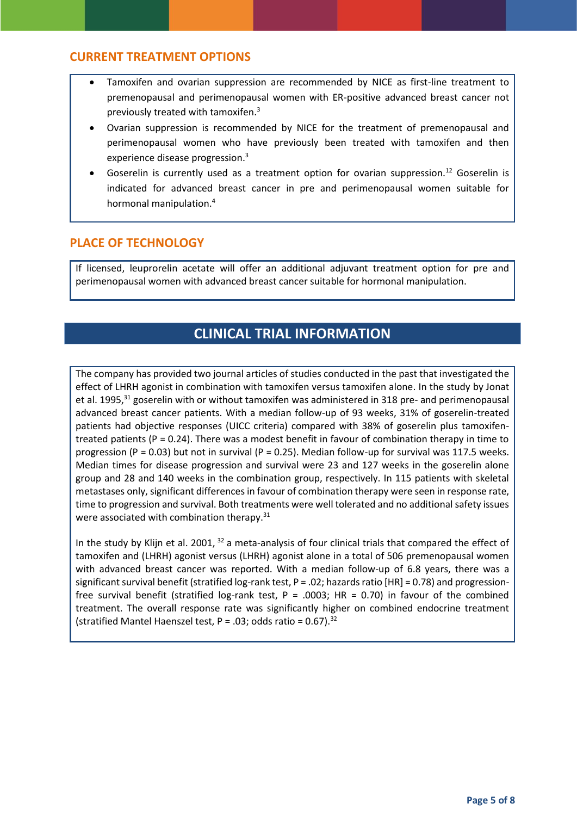#### **CURRENT TREATMENT OPTIONS**

- Tamoxifen and ovarian suppression are recommended by NICE as first-line treatment to premenopausal and perimenopausal women with ER-positive advanced breast cancer not previously treated with tamoxifen.[3](#page-1-3)
- Ovarian suppression is recommended by NICE for the treatment of premenopausal and perimenopausal women who have previously been treated with tamoxifen and then experience disease progression. [3](#page-1-3)
- Goserelin is currently used as a treatment option for ovarian suppression.<sup>[12](#page-2-0)</sup> Goserelin is indicated for advanced breast cancer in pre and perimenopausal women suitable for hormonal manipulatio[n.](#page-1-4)<sup>4</sup>

#### **PLACE OF TECHNOLOGY**

If licensed, leuprorelin acetate will offer an additional adjuvant treatment option for pre and perimenopausal women with advanced breast cancer suitable for hormonal manipulation.

## **CLINICAL TRIAL INFORMATION**

<span id="page-4-0"></span>The company has provided two journal articles of studies conducted in the past that investigated the effect of LHRH agonist in combination with tamoxifen versus tamoxifen alone. In the study by Jonat et al. 1995.<sup>31</sup> goserelin with or without tamoxifen was administered in 318 pre- and perimenopausal advanced breast cancer patients. With a median follow-up of 93 weeks, 31% of goserelin-treated patients had objective responses (UICC criteria) compared with 38% of goserelin plus tamoxifentreated patients ( $P = 0.24$ ). There was a modest benefit in favour of combination therapy in time to progression (P = 0.03) but not in survival (P = 0.25). Median follow-up for survival was 117.5 weeks. Median times for disease progression and survival were 23 and 127 weeks in the goserelin alone group and 28 and 140 weeks in the combination group, respectively. In 115 patients with skeletal metastases only, significant differences in favour of combination therapy were seen in response rate, time to progression and survival. Both treatments were well tolerated and no additional safety issues were associated with combination therapy.<sup>[31](#page-4-0)</sup>

<span id="page-4-1"></span>In the study by Klijn et al. 2001, <sup>32</sup> a meta-analysis of four clinical trials that compared the effect of tamoxifen and (LHRH) agonist versus (LHRH) agonist alone in a total of 506 premenopausal women with advanced breast cancer was reported. With a median follow-up of 6.8 years, there was a significant survival benefit (stratified log-rank test,  $P = .02$ ; hazards ratio [HR] = 0.78) and progressionfree survival benefit (stratified log-rank test,  $P = .0003$ ; HR = 0.70) in favour of the combined treatment. The overall response rate was significantly higher on combined endocrine treatment (stratified Mantel Haenszel test,  $P = .03$ ; odds ratio = 0.67).<sup>[32](#page-4-1)</sup>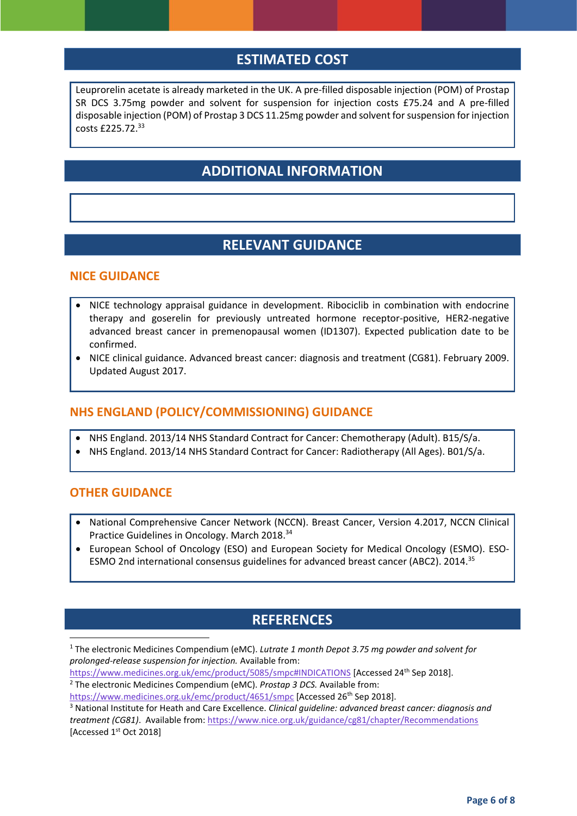## **ESTIMATED COST**

Leuprorelin acetate is already marketed in the UK. A pre-filled disposable injection (POM) of Prostap SR DCS 3.75mg powder and solvent for suspension for injection costs £75.24 and A pre-filled disposable injection (POM) of Prostap 3 DCS 11.25mg powder and solvent for suspension for injection costs £225.72. 33

## **ADDITIONAL INFORMATION**

## **RELEVANT GUIDANCE**

#### **NICE GUIDANCE**

- NICE technology appraisal guidance in development. Ribociclib in combination with endocrine therapy and goserelin for previously untreated hormone receptor-positive, HER2-negative advanced breast cancer in premenopausal women (ID1307). Expected publication date to be confirmed.
- NICE clinical guidance. Advanced breast cancer: diagnosis and treatment (CG81). February 2009. Updated August 2017.

#### **NHS ENGLAND (POLICY/COMMISSIONING) GUIDANCE**

- NHS England. 2013/14 NHS Standard Contract for Cancer: Chemotherapy (Adult). B15/S/a.
- NHS England. 2013/14 NHS Standard Contract for Cancer: Radiotherapy (All Ages). B01/S/a.

#### **OTHER GUIDANCE**

1

- National Comprehensive Cancer Network (NCCN). Breast Cancer, Version 4.2017, NCCN Clinical Practice Guidelines in Oncology. March 2018.<sup>34</sup>
- European School of Oncology (ESO) and European Society for Medical Oncology (ESMO). ESO-ESMO 2nd international consensus guidelines for advanced breast cancer (ABC2). 2014.<sup>35</sup>

## **REFERENCES**

<sup>1</sup> The electronic Medicines Compendium (eMC). *Lutrate 1 month Depot 3.75 mg powder and solvent for prolonged-release suspension for injection.* Available from:

<https://www.medicines.org.uk/emc/product/5085/smpc#INDICATIONS> [Accessed 24th Sep 2018].

<sup>2</sup> The electronic Medicines Compendium (eMC). *Prostap 3 DCS.* Available from:

<https://www.medicines.org.uk/emc/product/4651/smpc> [Accessed 26<sup>th</sup> Sep 2018].

<sup>3</sup> National Institute for Heath and Care Excellence. *Clinical guideline: advanced breast cancer: diagnosis and treatment (CG81)*. Available from:<https://www.nice.org.uk/guidance/cg81/chapter/Recommendations> [Accessed 1<sup>st</sup> Oct 2018]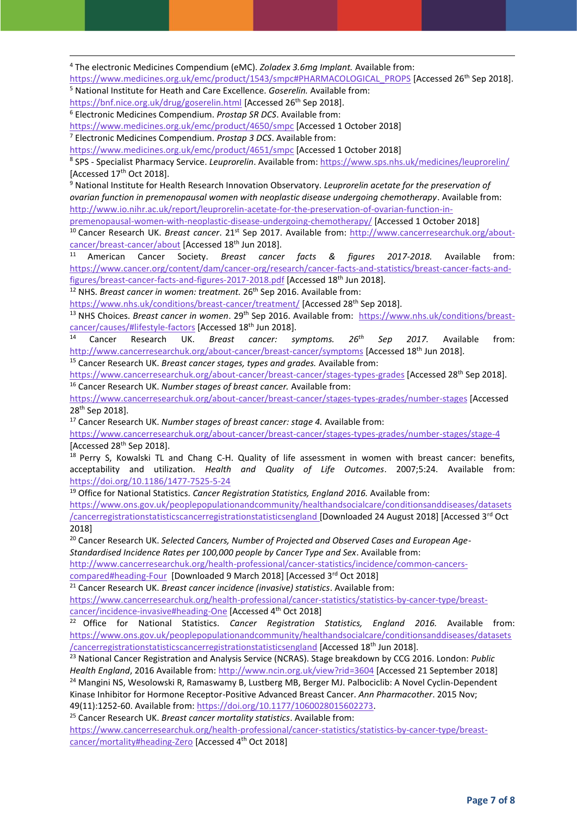<sup>4</sup> The electronic Medicines Compendium (eMC). *Zoladex 3.6mg Implant.* Available from:

[https://www.medicines.org.uk/emc/product/1543/smpc#PHARMACOLOGICAL\\_PROPS](https://www.medicines.org.uk/emc/product/1543/smpc#PHARMACOLOGICAL_PROPS) [Accessed 26th Sep 2018].

<sup>5</sup> National Institute for Heath and Care Excellence. *Goserelin.* Available from:

<https://bnf.nice.org.uk/drug/goserelin.html> [Accessed 26<sup>th</sup> Sep 2018].

**.** 

<sup>6</sup> Electronic Medicines Compendium. *Prostap SR DCS*. Available from:

<https://www.medicines.org.uk/emc/product/4650/smpc> [Accessed 1 October 2018]

<sup>7</sup> Electronic Medicines Compendium. *Prostap 3 DCS*. Available from:

<https://www.medicines.org.uk/emc/product/4651/smpc> [Accessed 1 October 2018]

8 SPS - Specialist Pharmacy Service. *Leuprorelin*. Available from[: https://www.sps.nhs.uk/medicines/leuprorelin/](https://www.sps.nhs.uk/medicines/leuprorelin/) [Accessed 17<sup>th</sup> Oct 2018].

<sup>9</sup> National Institute for Health Research Innovation Observatory. *Leuprorelin acetate for the preservation of ovarian function in premenopausal women with neoplastic disease undergoing chemotherapy*. Available from: [http://www.io.nihr.ac.uk/report/leuprorelin-acetate-for-the-preservation-of-ovarian-function-in-](http://www.io.nihr.ac.uk/report/leuprorelin-acetate-for-the-preservation-of-ovarian-function-in-premenopausal-women-with-neoplastic-disease-undergoing-chemotherapy/)

[premenopausal-women-with-neoplastic-disease-undergoing-chemotherapy/](http://www.io.nihr.ac.uk/report/leuprorelin-acetate-for-the-preservation-of-ovarian-function-in-premenopausal-women-with-neoplastic-disease-undergoing-chemotherapy/) [Accessed 1 October 2018]

<sup>10</sup> Cancer Research UK. *Breast cancer*. 21<sup>st</sup> Sep 2017. Available from: [http://www.cancerresearchuk.org/about](http://www.cancerresearchuk.org/about-cancer/breast-cancer/about)[cancer/breast-cancer/about](http://www.cancerresearchuk.org/about-cancer/breast-cancer/about) [Accessed 18th Jun 2018].

<sup>11</sup> American Cancer Society. *Breast cancer facts & figures 2017-2018.* Available from: [https://www.cancer.org/content/dam/cancer-org/research/cancer-facts-and-statistics/breast-cancer-facts-and](https://www.cancer.org/content/dam/cancer-org/research/cancer-facts-and-statistics/breast-cancer-facts-and-figures/breast-cancer-facts-and-figures-2017-2018.pdf)[figures/breast-cancer-facts-and-figures-2017-2018.pdf](https://www.cancer.org/content/dam/cancer-org/research/cancer-facts-and-statistics/breast-cancer-facts-and-figures/breast-cancer-facts-and-figures-2017-2018.pdf) [Accessed 18<sup>th</sup> Jun 2018].

<sup>12</sup> NHS. *Breast cancer in women: treatment.* 26<sup>th</sup> Sep 2016. Available from:

<https://www.nhs.uk/conditions/breast-cancer/treatment/> [Accessed 28<sup>th</sup> Sep 2018].

<sup>13</sup> NHS Choices. *Breast cancer in women*. 29th Sep 2016. Available from: [https://www.nhs.uk/conditions/breast](https://www.nhs.uk/conditions/breast-cancer/causes/#lifestyle-factors)[cancer/causes/#lifestyle-factors](https://www.nhs.uk/conditions/breast-cancer/causes/#lifestyle-factors) [Accessed 18th Jun 2018].

<sup>14</sup> Cancer Research UK. *Breast cancer: symptoms. 26th Sep 2017.* Available from: <http://www.cancerresearchuk.org/about-cancer/breast-cancer/symptoms> [Accessed 18<sup>th</sup> Jun 2018].

<sup>15</sup> Cancer Research UK. *Breast cancer stages, types and grades.* Available from:

<https://www.cancerresearchuk.org/about-cancer/breast-cancer/stages-types-grades> [Accessed 28<sup>th</sup> Sep 2018]. <sup>16</sup> Cancer Research UK. *Number stages of breast cancer.* Available from:

<https://www.cancerresearchuk.org/about-cancer/breast-cancer/stages-types-grades/number-stages> [Accessed 28th Sep 2018].

<sup>17</sup> Cancer Research UK. *Number stages of breast cancer: stage 4.* Available from:

<https://www.cancerresearchuk.org/about-cancer/breast-cancer/stages-types-grades/number-stages/stage-4> [Accessed 28<sup>th</sup> Sep 2018].

<sup>18</sup> Perry S, Kowalski TL and Chang C-H. Quality of life assessment in women with breast cancer: benefits, acceptability and utilization. *Health and Quality of Life Outcomes*. 2007;5:24. Available from: <https://doi.org/10.1186/1477-7525-5-24>

<sup>19</sup> Office for National Statistics. *Cancer Registration Statistics, England 2016.* Available from:

[https://www.ons.gov.uk/peoplepopulationandcommunity/healthandsocialcare/conditionsanddiseases/datasets](https://www.ons.gov.uk/peoplepopulationandcommunity/healthandsocialcare/conditionsanddiseases/datasets/cancerregistrationstatisticscancerregistrationstatisticsengland) [/cancerregistrationstatisticscancerregistrationstatisticsengland](https://www.ons.gov.uk/peoplepopulationandcommunity/healthandsocialcare/conditionsanddiseases/datasets/cancerregistrationstatisticscancerregistrationstatisticsengland) [Downloaded 24 August 2018] [Accessed 3rd Oct 2018]

<sup>20</sup> Cancer Research UK. Selected Cancers, Number of Projected and Observed Cases and European Age-*Standardised Incidence Rates per 100,000 people by Cancer Type and Sex*. Available from:

[http://www.cancerresearchuk.org/health-professional/cancer-statistics/incidence/common-cancers-](http://www.cancerresearchuk.org/health-professional/cancer-statistics/incidence/common-cancers-compared#heading-Four)

[compared#heading-Four](http://www.cancerresearchuk.org/health-professional/cancer-statistics/incidence/common-cancers-compared#heading-Four) [Downloaded 9 March 2018] [Accessed 3rd Oct 2018]

<sup>21</sup> Cancer Research UK. *Breast cancer incidence (invasive) statistics*. Available from:

[https://www.cancerresearchuk.org/health-professional/cancer-statistics/statistics-by-cancer-type/breast](https://www.cancerresearchuk.org/health-professional/cancer-statistics/statistics-by-cancer-type/breast-cancer/incidence-invasive#heading-One)[cancer/incidence-invasive#heading-One](https://www.cancerresearchuk.org/health-professional/cancer-statistics/statistics-by-cancer-type/breast-cancer/incidence-invasive#heading-One) [Accessed 4<sup>th</sup> Oct 2018]

<sup>22</sup> Office for National Statistics. *Cancer Registration Statistics, England 2016.* Available from: [https://www.ons.gov.uk/peoplepopulationandcommunity/healthandsocialcare/conditionsanddiseases/datasets](https://www.ons.gov.uk/peoplepopulationandcommunity/healthandsocialcare/conditionsanddiseases/datasets/cancerregistrationstatisticscancerregistrationstatisticsengland) [/cancerregistrationstatisticscancerregistrationstatisticsengland](https://www.ons.gov.uk/peoplepopulationandcommunity/healthandsocialcare/conditionsanddiseases/datasets/cancerregistrationstatisticscancerregistrationstatisticsengland) [Accessed 18<sup>th</sup> Jun 2018].

<sup>23</sup> National Cancer Registration and Analysis Service (NCRAS). Stage breakdown by CCG 2016. London: *Public Health England*, 2016 Available from[: http://www.ncin.org.uk/view?rid=3604](http://www.ncin.org.uk/view?rid=3604) [Accessed 21 September 2018] <sup>24</sup> Mangini NS, Wesolowski R, Ramaswamy B, Lustberg MB, Berger MJ. Palbociclib: A Novel Cyclin-Dependent Kinase Inhibitor for Hormone Receptor-Positive Advanced Breast Cancer. *Ann Pharmacother*. 2015 Nov; 49(11):1252-60. Available from: [https://doi.org/10.1177/1060028015602273.](https://doi.org/10.1177/1060028015602273) 

<sup>25</sup> Cancer Research UK. *Breast cancer mortality statistics*. Available from:

[https://www.cancerresearchuk.org/health-professional/cancer-statistics/statistics-by-cancer-type/breast](https://www.cancerresearchuk.org/health-professional/cancer-statistics/statistics-by-cancer-type/breast-cancer/mortality#heading-Zero)[cancer/mortality#heading-Zero](https://www.cancerresearchuk.org/health-professional/cancer-statistics/statistics-by-cancer-type/breast-cancer/mortality#heading-Zero) [Accessed 4th Oct 2018]